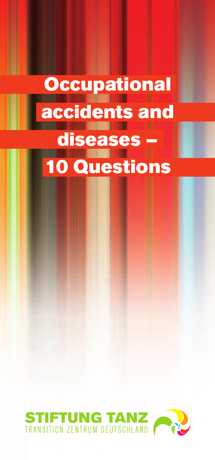# **Occupational** accidents and diseases 10 Questions

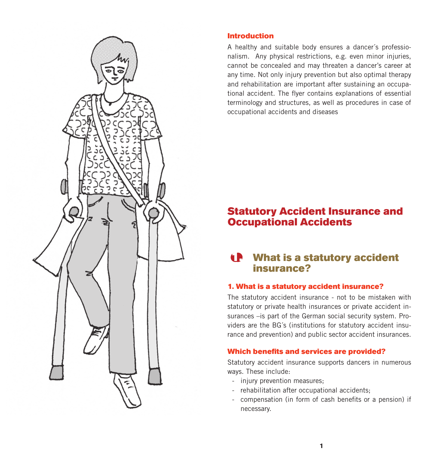

#### Introduction

A healthy and suitable body ensures a dancer´s professionalism. Any physical restrictions, e.g. even minor injuries, cannot be concealed and may threaten a dancer's career at any time. Not only injury prevention but also optimal therapy and rehabilitation are important after sustaining an occupational accident. The flyer contains explanations of essential terminology and structures, as well as procedures in case of occupational accidents and diseases

# Statutory Accident Insurance and Occupational Accidents

# 1. What is a statutory accident insurance?

#### 1. What is a statutory accident insurance?

The statutory accident insurance - not to be mistaken with statutory or private health insurances or private accident insurances –is part of the German social security system. Providers are the BG´s (institutions for statutory accident insurance and prevention) and public sector accident insurances.

#### Which benefits and services are provided?

Statutory accident insurance supports dancers in numerous ways. These include:

- injury prevention measures;
- rehabilitation after occupational accidents;
- compensation (in form of cash benefits or a pension) if necessary.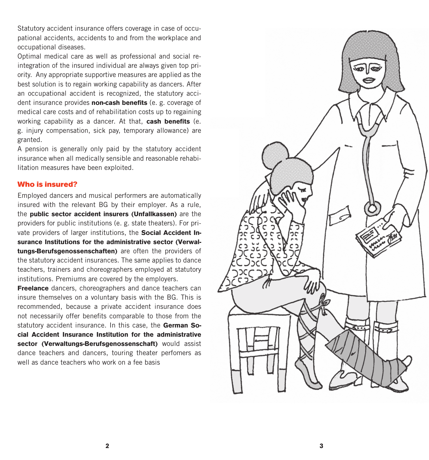Statutory accident insurance offers coverage in case of occupational accidents, accidents to and from the workplace and occupational diseases.

Optimal medical care as well as professional and social reintegration of the insured individual are always given top priority. Any appropriate supportive measures are applied as the best solution is to regain working capability as dancers. After an occupational accident is recognized, the statutory accident insurance provides **non-cash benefits** (e. g. coverage of medical care costs and of rehabilitation costs up to regaining working capability as a dancer. At that, **cash benefits** (e. g. injury compensation, sick pay, temporary allowance) are granted.

A pension is generally only paid by the statutory accident insurance when all medically sensible and reasonable rehabilitation measures have been exploited.

#### Who is insured?

Employed dancers and musical performers are automatically insured with the relevant BG by their employer. As a rule, the **public sector accident insurers (Unfallkassen)** are the providers for public institutions (e. g. state theaters). For private providers of larger institutions, the **Social Accident Insurance Institutions for the administrative sector (Verwaltungs-Berufsgenossenschaften)** are often the providers of the statutory accident insurances. The same applies to dance teachers, trainers and choreographers employed at statutory institutions. Premiums are covered by the employers.

**Freelance** dancers, choreographers and dance teachers can insure themselves on a voluntary basis with the BG. This is recommended, because a private accident insurance does not necessarily offer benefits comparable to those from the statutory accident insurance. In this case, the **German Social Accident Insurance Institution for the administrative sector (Verwaltungs-Berufsgenossenschaft)** would assist dance teachers and dancers, touring theater perfomers as well as dance teachers who work on a fee basis

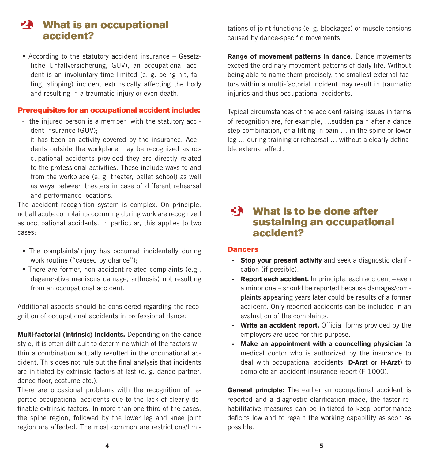# 2. What is an occupational accident?

• According to the statutory accident insurance – Gesetzliche Unfallversicherung, GUV), an occupational accident is an involuntary time-limited (e. g. being hit, falling, slipping) incident extrinsically affecting the body and resulting in a traumatic injury or even death.

#### Prerequisites for an occupational accident include:

- the injured person is a member with the statutory accident insurance (GUV);
- it has been an activity covered by the insurance. Accidents outside the workplace may be recognized as occupational accidents provided they are directly related to the professional activities. These include ways to and from the workplace (e. g. theater, ballet school) as well as ways between theaters in case of different rehearsal and performance locations.

The accident recognition system is complex. On principle, not all acute complaints occurring during work are recognized as occupational accidents. In particular, this applies to two cases:

- The complaints/injury has occurred incidentally during work routine ("caused by chance");
- There are former, non accident-related complaints (e.g., degenerative meniscus damage, arthrosis) not resulting from an occupational accident.

Additional aspects should be considered regarding the recognition of occupational accidents in professional dance:

**Multi-factorial (intrinsic) incidents.** Depending on the dance style, it is often difficult to determine which of the factors within a combination actually resulted in the occupational accident. This does not rule out the final analysis that incidents are initiated by extrinsic factors at last (e. g. dance partner, dance floor, costume etc.).

There are occasional problems with the recognition of reported occupational accidents due to the lack of clearly definable extrinsic factors. In more than one third of the cases, the spine region, followed by the lower leg and knee joint region are affected. The most common are restrictions/limitations of joint functions (e. g. blockages) or muscle tensions caused by dance-specific movements.

**Range of movement patterns in dance**. Dance movements exceed the ordinary movement patterns of daily life. Without being able to name them precisely, the smallest external factors within a multi-factorial incident may result in traumatic injuries and thus occupational accidents.

Typical circumstances of the accident raising issues in terms of recognition are, for example, …sudden pain after a dance step combination, or a lifting in pain … in the spine or lower leg … during training or rehearsal … without a clearly definable external affect.

# $5.3$  What is to be done after sustaining an occupational accident?

#### **Dancers**

- **Stop your present activity** and seek a diagnostic clarification (if possible).
- **Report each accident.** In principle, each accident even a minor one – should be reported because damages/complaints appearing years later could be results of a former accident. Only reported accidents can be included in an evaluation of the complaints.
- **Write an accident report.** Official forms provided by the employers are used for this purpose.
- **Make an appointment with a councelling physician** (a medical doctor who is authorized by the insurance to deal with occupational accidents, **D-Arzt or H-Arzt**) to complete an accident insurance report (F 1000).

**General principle:** The earlier an occupational accident is reported and a diagnostic clarification made, the faster rehabilitative measures can be initiated to keep performance deficits low and to regain the working capability as soon as possible.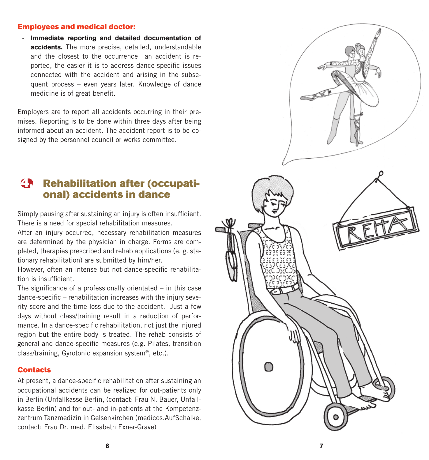#### Employees and medical doctor:

- **Immediate reporting and detailed documentation of accidents.** The more precise, detailed, understandable and the closest to the occurrence an accident is reported, the easier it is to address dance-specific issues connected with the accident and arising in the subsequent process – even years later. Knowledge of dance medicine is of great benefit.

Employers are to report all accidents occurring in their premises. Reporting is to be done within three days after being informed about an accident. The accident report is to be cosigned by the personnel council or works committee.

# 4. Rehabilitation after (occupational) accidents in dance

Simply pausing after sustaining an injury is often insufficient. There is a need for special rehabilitation measures.

After an injury occurred, necessary rehabilitation measures are determined by the physician in charge. Forms are completed, therapies prescribed and rehab applications (e. g. stationary rehabilitation) are submitted by him/her.

However, often an intense but not dance-specific rehabilitation is insufficient.

The significance of a professionally orientated – in this case dance-specific – rehabilitation increases with the injury severity score and the time-loss due to the accident. Just a few days without class/training result in a reduction of performance. In a dance-specific rehabilitation, not just the injured region but the entire body is treated. The rehab consists of general and dance-specific measures (e.g. Pilates, transition class/training, Gyrotonic expansion system®, etc.).

#### **Contacts**

At present, a dance-specific rehabilitation after sustaining an occupational accidents can be realized for out-patients only in Berlin (Unfallkasse Berlin, (contact: Frau N. Bauer, Unfallkasse Berlin) and for out- and in-patients at the Kompetenzzentrum Tanzmedizin in Gelsenkirchen (medicos.AufSchalke, contact: Frau Dr. med. Elisabeth Exner-Grave)

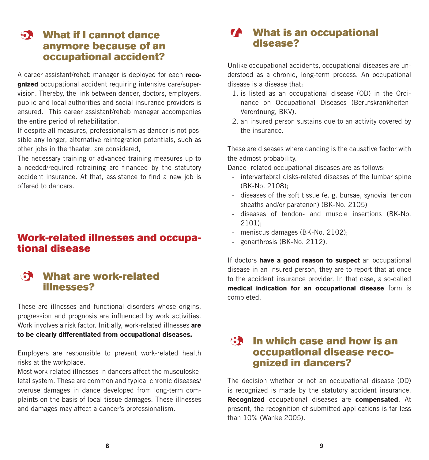# 5. What if I cannot dance anymore because of an occupational accident?

A career assistant/rehab manager is deployed for each **recognized** occupational accident requiring intensive care/supervision. Thereby, the link between dancer, doctors, employers, public and local authorities and social insurance providers is ensured. This career assistant/rehab manager accompanies the entire period of rehabilitation.

If despite all measures, professionalism as dancer is not possible any longer, alternative reintegration potentials, such as other jobs in the theater, are considered,

The necessary training or advanced training measures up to a needed/required retraining are financed by the statutory accident insurance. At that, assistance to find a new job is offered to dancers.

# Work-related illnesses and occupa-<br>tional disease

# 6. What are work-related illnesses?

These are illnesses and functional disorders whose origins, progression and prognosis are influenced by work activities. Work involves a risk factor. Initially, work-related illnesses **are to be clearly differentiated from occupational diseases.**

Employers are responsible to prevent work-related health risks at the workplace.

Most work-related illnesses in dancers affect the musculoskeletal system. These are common and typical chronic diseases/ overuse damages in dance developed from long-term complaints on the basis of local tissue damages. These illnesses and damages may affect a dancer's professionalism.

# 7. What is an occupational disease?

Unlike occupational accidents, occupational diseases are understood as a chronic, long-term process. An occupational disease is a disease that:

- 1. is listed as an occupational disease (OD) in the Ordinance on Occupational Diseases (Berufskrankheiten-Verordnung, BKV).
- 2. an insured person sustains due to an activity covered by the insurance.

These are diseases where dancing is the causative factor with the admost probability.

Dance- related occupational diseases are as follows:

- intervertebral disks-related diseases of the lumbar spine (BK-No. 2108);
- diseases of the soft tissue (e. g. bursae, synovial tendon sheaths and/or paratenon) (BK-No. 2105)
- diseases of tendon- and muscle insertions (BK-No. 2101);
- meniscus damages (BK-No. 2102);
- gonarthrosis (BK-No. 2112).

If doctors **have a good reason to suspect** an occupational disease in an insured person, they are to report that at once to the accident insurance provider. In that case, a so-called **medical indication for an occupational disease** form is completed.

## $\mathbf{B}$  In which case and how is an occupational disease recognized in dancers?

The decision whether or not an occupational disease (OD) is recognized is made by the statutory accident insurance. **Recognized** occupational diseases are **compensated**. At present, the recognition of submitted applications is far less than 10% (Wanke 2005).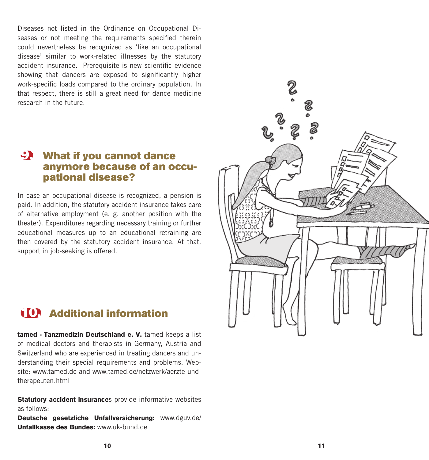Diseases not listed in the Ordinance on Occupational Diseases or not meeting the requirements specified therein could nevertheless be recognized as 'like an occupational disease' similar to work-related illnesses by the statutory accident insurance. Prerequisite is new scientific evidence showing that dancers are exposed to significantly higher work-specific loads compared to the ordinary population. In that respect, there is still a great need for dance medicine research in the future.

## $\mathcal{L}$  What if you cannot dance anymore because of an occupational disease?

In case an occupational disease is recognized, a pension is paid. In addition, the statutory accident insurance takes care of alternative employment (e. g. another position with the theater). Expenditures regarding necessary training or further educational measures up to an educational retraining are then covered by the statutory accident insurance. At that, support in job-seeking is offered.

# 10. Additional information

**tamed - Tanzmedizin Deutschland e. V.** tamed keeps a list of medical doctors and therapists in Germany, Austria and Switzerland who are experienced in treating dancers and understanding their special requirements and problems. Website: www.tamed.de and www.tamed.de/netzwerk/aerzte-undtherapeuten.html

**Statutory accident insurance**s provide informative websites as follows:

**Deutsche gesetzliche Unfallversicherung:** www.dguv.de/ **Unfallkasse des Bundes:** www.uk-bund.de

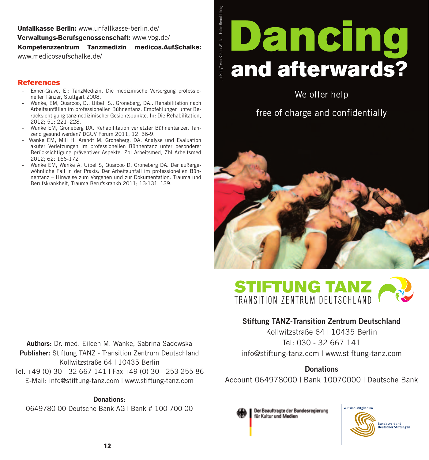#### **Unfallkasse Berlin:** www.unfallkasse-berlin.de/ **Verwaltungs-Berufsgenossenschaft:** www.vbg.de/ **Kompetenzzentrum Tanzmedizin medicos.AufSchalke:** www.medicosaufschalke.de/

Body" von Sasha Waltz. - Foto: Bernd Uhlig "noBody" von Sasha Waltz. - Foto: Bernd Uhlig

### References

- Exner-Grave, E.: TanzMedizin. Die medizinische Versorgung professioneller Tänzer, Stuttgart 2008.
- Wanke, EM; Quarcoo, D.; Uibel, S.; Groneberg, DA.; Rehabilitation nach Arbeitsunfällen im professionellen Bühnentanz. Empfehlungen unter Berücksichtigung tanzmedizinischer Gesichtspunkte. In: Die Rehabilitation, 2012; 51: 221–228.
- Wanke EM, Groneberg DA. Rehabilitation verletzter Bühnentänzer. Tanzend gesund werden? DGUV Forum 2011; 12: 36-9.
- Wanke EM, Mill H, Arendt M, Groneberg, DA. Analyse und Evaluation akuter Verletzungen im professionellen Bühnentanz unter besonderer Berücksichtigung präventiver Aspekte. Zbl Arbeitsmed, Zbl Arbeitsmed 2012; 62: 166-172
- Wanke EM, Wanke A, Uibel S, Quarcoo D, Groneberg DA: Der außergewöhnliche Fall in der Praxis: Der Arbeitsunfall im professionellen Bühnentanz – Hinweise zum Vorgehen und zur Dokumentation. Trauma und Berufskrankheit, Trauma Berufskrankh 2011; 13:131–139.

# **Dancing** and afterwards?

We offer help

free of charge and confidentially





#### Stiftung TANZ-Transition Zentrum Deutschland

Kollwitzstraße 64 | 10435 Berlin Tel: 030 - 32 667 141 info@stiftung-tanz.com | www.stiftung-tanz.com

**Donations** Account 064978000 | Bank 10070000 | Deutsche Bank

Der Beauftragte der Bundesregierung für Kultur und Medien



Authors: Dr. med. Eileen M. Wanke, Sabrina Sadowska Publisher: Stiftung TANZ - Transition Zentrum Deutschland Kollwitzstraße 64 | 10435 Berlin Tel. +49 (0) 30 - 32 667 141 | Fax +49 (0) 30 - 253 255 86 E-Mail: info@stiftung-tanz.com | www.stiftung-tanz.com

#### Donations:

0649780 00 Deutsche Bank AG | Bank # 100 700 00